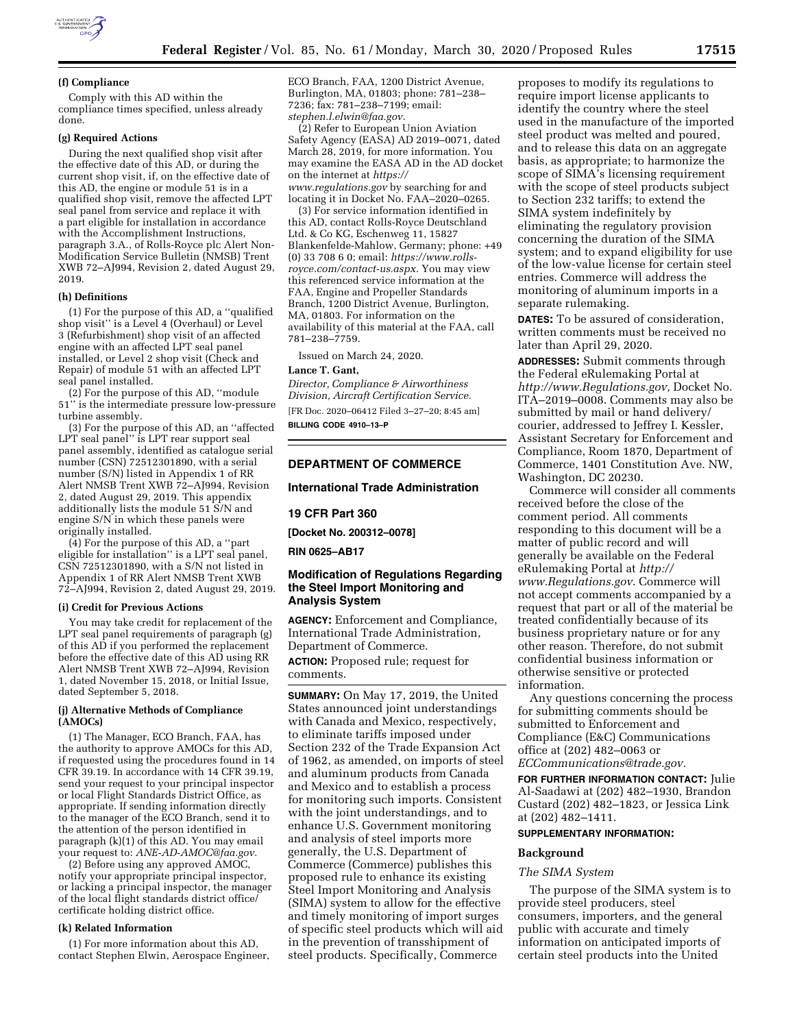

#### **(f) Compliance**

Comply with this AD within the compliance times specified, unless already done.

#### **(g) Required Actions**

During the next qualified shop visit after the effective date of this AD, or during the current shop visit, if, on the effective date of this AD, the engine or module 51 is in a qualified shop visit, remove the affected LPT seal panel from service and replace it with a part eligible for installation in accordance with the Accomplishment Instructions, paragraph 3.A., of Rolls-Royce plc Alert Non-Modification Service Bulletin (NMSB) Trent XWB 72–AJ994, Revision 2, dated August 29, 2019.

### **(h) Definitions**

(1) For the purpose of this AD, a ''qualified shop visit'' is a Level 4 (Overhaul) or Level 3 (Refurbishment) shop visit of an affected engine with an affected LPT seal panel installed, or Level 2 shop visit (Check and Repair) of module 51 with an affected LPT seal panel installed.

(2) For the purpose of this AD, ''module 51'' is the intermediate pressure low-pressure turbine assembly.

(3) For the purpose of this AD, an ''affected LPT seal panel'' is LPT rear support seal panel assembly, identified as catalogue serial number (CSN) 72512301890, with a serial number (S/N) listed in Appendix 1 of RR Alert NMSB Trent XWB 72–AJ994, Revision 2, dated August 29, 2019. This appendix additionally lists the module 51 S/N and engine S/N in which these panels were originally installed.

(4) For the purpose of this AD, a ''part eligible for installation'' is a LPT seal panel, CSN 72512301890, with a S/N not listed in Appendix 1 of RR Alert NMSB Trent XWB 72–AJ994, Revision 2, dated August 29, 2019.

#### **(i) Credit for Previous Actions**

You may take credit for replacement of the LPT seal panel requirements of paragraph (g) of this AD if you performed the replacement before the effective date of this AD using RR Alert NMSB Trent XWB 72–AJ994, Revision 1, dated November 15, 2018, or Initial Issue, dated September 5, 2018.

#### **(j) Alternative Methods of Compliance (AMOCs)**

(1) The Manager, ECO Branch, FAA, has the authority to approve AMOCs for this AD, if requested using the procedures found in 14 CFR 39.19. In accordance with 14 CFR 39.19, send your request to your principal inspector or local Flight Standards District Office, as appropriate. If sending information directly to the manager of the ECO Branch, send it to the attention of the person identified in paragraph (k)(1) of this AD. You may email your request to: *[ANE-AD-AMOC@faa.gov.](mailto:ANE-AD-AMOC@faa.gov)* 

(2) Before using any approved AMOC, notify your appropriate principal inspector, or lacking a principal inspector, the manager of the local flight standards district office/ certificate holding district office.

#### **(k) Related Information**

(1) For more information about this AD, contact Stephen Elwin, Aerospace Engineer, ECO Branch, FAA, 1200 District Avenue, Burlington, MA, 01803; phone: 781–238– 7236; fax: 781–238–7199; email: *[stephen.l.elwin@faa.gov.](mailto:stephen.l.elwin@faa.gov)* 

(2) Refer to European Union Aviation Safety Agency (EASA) AD 2019–0071, dated March 28, 2019, for more information. You may examine the EASA AD in the AD docket on the internet at *[https://](https://www.regulations.gov) [www.regulations.gov](https://www.regulations.gov)* by searching for and locating it in Docket No. FAA–2020–0265.

(3) For service information identified in this AD, contact Rolls-Royce Deutschland Ltd. & Co KG, Eschenweg 11, 15827 Blankenfelde-Mahlow, Germany; phone: +49 (0) 33 708 6 0; email: *[https://www.rolls](https://www.rolls-royce.com/contact-us.aspx)[royce.com/contact-us.aspx.](https://www.rolls-royce.com/contact-us.aspx)* You may view this referenced service information at the FAA, Engine and Propeller Standards Branch, 1200 District Avenue, Burlington, MA, 01803. For information on the availability of this material at the FAA, call 781–238–7759.

Issued on March 24, 2020.

#### **Lance T. Gant,**

*Director, Compliance & Airworthiness Division, Aircraft Certification Service.*  [FR Doc. 2020–06412 Filed 3–27–20; 8:45 am]

**BILLING CODE 4910–13–P** 

### **DEPARTMENT OF COMMERCE**

#### **International Trade Administration**

#### **19 CFR Part 360**

**[Docket No. 200312–0078]** 

**RIN 0625–AB17** 

### **Modification of Regulations Regarding the Steel Import Monitoring and Analysis System**

**AGENCY:** Enforcement and Compliance, International Trade Administration, Department of Commerce. **ACTION:** Proposed rule; request for comments.

**SUMMARY:** On May 17, 2019, the United States announced joint understandings with Canada and Mexico, respectively, to eliminate tariffs imposed under Section 232 of the Trade Expansion Act of 1962, as amended, on imports of steel and aluminum products from Canada and Mexico and to establish a process for monitoring such imports. Consistent with the joint understandings, and to enhance U.S. Government monitoring and analysis of steel imports more generally, the U.S. Department of Commerce (Commerce) publishes this proposed rule to enhance its existing Steel Import Monitoring and Analysis (SIMA) system to allow for the effective and timely monitoring of import surges of specific steel products which will aid in the prevention of transshipment of steel products. Specifically, Commerce

proposes to modify its regulations to require import license applicants to identify the country where the steel used in the manufacture of the imported steel product was melted and poured, and to release this data on an aggregate basis, as appropriate; to harmonize the scope of SIMA's licensing requirement with the scope of steel products subject to Section 232 tariffs; to extend the SIMA system indefinitely by eliminating the regulatory provision concerning the duration of the SIMA system; and to expand eligibility for use of the low-value license for certain steel entries. Commerce will address the monitoring of aluminum imports in a separate rulemaking.

**DATES:** To be assured of consideration, written comments must be received no later than April 29, 2020.

**ADDRESSES:** Submit comments through the Federal eRulemaking Portal at *[http://www.Regulations.gov,](http://www.Regulations.gov)* Docket No. ITA–2019–0008. Comments may also be submitted by mail or hand delivery/ courier, addressed to Jeffrey I. Kessler, Assistant Secretary for Enforcement and Compliance, Room 1870, Department of Commerce, 1401 Constitution Ave. NW, Washington, DC 20230.

Commerce will consider all comments received before the close of the comment period. All comments responding to this document will be a matter of public record and will generally be available on the Federal eRulemaking Portal at *[http://](http://www.Regulations.gov) [www.Regulations.gov](http://www.Regulations.gov)*. Commerce will not accept comments accompanied by a request that part or all of the material be treated confidentially because of its business proprietary nature or for any other reason. Therefore, do not submit confidential business information or otherwise sensitive or protected information.

Any questions concerning the process for submitting comments should be submitted to Enforcement and Compliance (E&C) Communications office at (202) 482–0063 or *[ECCommunications@trade.gov.](mailto:ECCommunications@trade.gov)* 

**FOR FURTHER INFORMATION CONTACT:** Julie Al-Saadawi at (202) 482–1930, Brandon Custard (202) 482–1823, or Jessica Link at (202) 482–1411.

## **SUPPLEMENTARY INFORMATION:**

#### **Background**

#### *The SIMA System*

The purpose of the SIMA system is to provide steel producers, steel consumers, importers, and the general public with accurate and timely information on anticipated imports of certain steel products into the United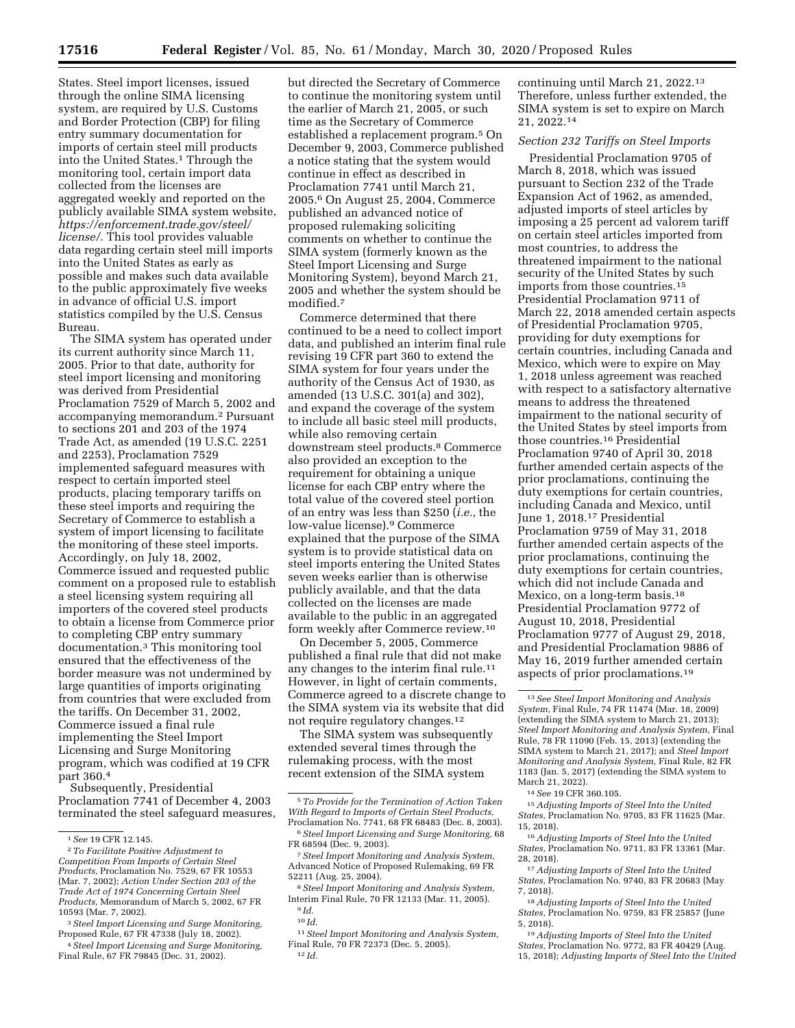States. Steel import licenses, issued through the online SIMA licensing system, are required by U.S. Customs and Border Protection (CBP) for filing entry summary documentation for imports of certain steel mill products into the United States.1 Through the monitoring tool, certain import data collected from the licenses are aggregated weekly and reported on the publicly available SIMA system website, *[https://enforcement.trade.gov/steel/](https://enforcement.trade.gov/steel/license/)  [license/.](https://enforcement.trade.gov/steel/license/)* This tool provides valuable data regarding certain steel mill imports into the United States as early as possible and makes such data available to the public approximately five weeks in advance of official U.S. import statistics compiled by the U.S. Census Bureau.

The SIMA system has operated under its current authority since March 11, 2005. Prior to that date, authority for steel import licensing and monitoring was derived from Presidential Proclamation 7529 of March 5, 2002 and accompanying memorandum.2 Pursuant to sections 201 and 203 of the 1974 Trade Act, as amended (19 U.S.C. 2251 and 2253), Proclamation 7529 implemented safeguard measures with respect to certain imported steel products, placing temporary tariffs on these steel imports and requiring the Secretary of Commerce to establish a system of import licensing to facilitate the monitoring of these steel imports. Accordingly, on July 18, 2002, Commerce issued and requested public comment on a proposed rule to establish a steel licensing system requiring all importers of the covered steel products to obtain a license from Commerce prior to completing CBP entry summary documentation.3 This monitoring tool ensured that the effectiveness of the border measure was not undermined by large quantities of imports originating from countries that were excluded from the tariffs. On December 31, 2002, Commerce issued a final rule implementing the Steel Import Licensing and Surge Monitoring program, which was codified at 19 CFR part 360.4

Subsequently, Presidential Proclamation 7741 of December 4, 2003 terminated the steel safeguard measures,

4*Steel Import Licensing and Surge Monitoring,*  Final Rule, 67 FR 79845 (Dec. 31, 2002).

but directed the Secretary of Commerce to continue the monitoring system until the earlier of March 21, 2005, or such time as the Secretary of Commerce established a replacement program.5 On December 9, 2003, Commerce published a notice stating that the system would continue in effect as described in Proclamation 7741 until March 21, 2005.6 On August 25, 2004, Commerce published an advanced notice of proposed rulemaking soliciting comments on whether to continue the SIMA system (formerly known as the Steel Import Licensing and Surge Monitoring System), beyond March 21, 2005 and whether the system should be modified.<sup>7</sup>

Commerce determined that there continued to be a need to collect import data, and published an interim final rule revising 19 CFR part 360 to extend the SIMA system for four years under the authority of the Census Act of 1930, as amended (13 U.S.C. 301(a) and 302), and expand the coverage of the system to include all basic steel mill products, while also removing certain downstream steel products.8 Commerce also provided an exception to the requirement for obtaining a unique license for each CBP entry where the total value of the covered steel portion of an entry was less than \$250 (*i.e.,* the low-value license).9 Commerce explained that the purpose of the SIMA system is to provide statistical data on steel imports entering the United States seven weeks earlier than is otherwise publicly available, and that the data collected on the licenses are made available to the public in an aggregated form weekly after Commerce review.10

On December 5, 2005, Commerce published a final rule that did not make any changes to the interim final rule.11 However, in light of certain comments, Commerce agreed to a discrete change to the SIMA system via its website that did not require regulatory changes.12

The SIMA system was subsequently extended several times through the rulemaking process, with the most recent extension of the SIMA system

7*Steel Import Monitoring and Analysis System,*  Advanced Notice of Proposed Rulemaking, 69 FR 52211 (Aug. 25, 2004).

8*Steel Import Monitoring and Analysis System,*  Interim Final Rule, 70 FR 12133 (Mar. 11, 2005). 9 *Id.* 

11*Steel Import Monitoring and Analysis System,*  Final Rule, 70 FR 72373 (Dec. 5, 2005). 12 *Id.* 

continuing until March 21, 2022.13 Therefore, unless further extended, the SIMA system is set to expire on March 21, 2022.14

# *Section 232 Tariffs on Steel Imports*

Presidential Proclamation 9705 of March 8, 2018, which was issued pursuant to Section 232 of the Trade Expansion Act of 1962, as amended, adjusted imports of steel articles by imposing a 25 percent ad valorem tariff on certain steel articles imported from most countries, to address the threatened impairment to the national security of the United States by such imports from those countries.15 Presidential Proclamation 9711 of March 22, 2018 amended certain aspects of Presidential Proclamation 9705, providing for duty exemptions for certain countries, including Canada and Mexico, which were to expire on May 1, 2018 unless agreement was reached with respect to a satisfactory alternative means to address the threatened impairment to the national security of the United States by steel imports from those countries.16 Presidential Proclamation 9740 of April 30, 2018 further amended certain aspects of the prior proclamations, continuing the duty exemptions for certain countries, including Canada and Mexico, until June 1, 2018.17 Presidential Proclamation 9759 of May 31, 2018 further amended certain aspects of the prior proclamations, continuing the duty exemptions for certain countries, which did not include Canada and Mexico, on a long-term basis.18 Presidential Proclamation 9772 of August 10, 2018, Presidential Proclamation 9777 of August 29, 2018, and Presidential Proclamation 9886 of May 16, 2019 further amended certain aspects of prior proclamations.19

<sup>1</sup>*See* 19 CFR 12.145. 2*To Facilitate Positive Adjustment to Competition From Imports of Certain Steel Products,* Proclamation No. 7529, 67 FR 10553 (Mar. 7, 2002); *Action Under Section 203 of the Trade Act of 1974 Concerning Certain Steel Products,* Memorandum of March 5, 2002, 67 FR 10593 (Mar. 7, 2002).

<sup>3</sup>*Steel Import Licensing and Surge Monitoring,*  Proposed Rule, 67 FR 47338 (July 18, 2002).

<sup>5</sup>*To Provide for the Termination of Action Taken With Regard to Imports of Certain Steel Products,*  Proclamation No. 7741, 68 FR 68483 (Dec. 8, 2003).

<sup>6</sup>*Steel Import Licensing and Surge Monitoring,* 68 FR 68594 (Dec. 9, 2003).

 $^{10}\,Id.$ 

<sup>13</sup>*See Steel Import Monitoring and Analysis System,* Final Rule, 74 FR 11474 (Mar. 18, 2009) (extending the SIMA system to March 21, 2013); *Steel Import Monitoring and Analysis System,* Final Rule, 78 FR 11090 (Feb. 15, 2013) (extending the SIMA system to March 21, 2017); and *Steel Import Monitoring and Analysis System,* Final Rule, 82 FR 1183 (Jan. 5, 2017) (extending the SIMA system to March 21, 2022).

<sup>14</sup>*See* 19 CFR 360.105.

<sup>15</sup>*Adjusting Imports of Steel Into the United States,* Proclamation No. 9705, 83 FR 11625 (Mar. 15, 2018).

<sup>16</sup>*Adjusting Imports of Steel Into the United States,* Proclamation No. 9711, 83 FR 13361 (Mar. 28, 2018).

<sup>17</sup>*Adjusting Imports of Steel Into the United States,* Proclamation No. 9740, 83 FR 20683 (May 7, 2018).

<sup>18</sup>*Adjusting Imports of Steel Into the United States,* Proclamation No. 9759, 83 FR 25857 (June 5, 2018).

<sup>19</sup>*Adjusting Imports of Steel Into the United States,* Proclamation No. 9772, 83 FR 40429 (Aug. 15, 2018); *Adjusting Imports of Steel Into the United*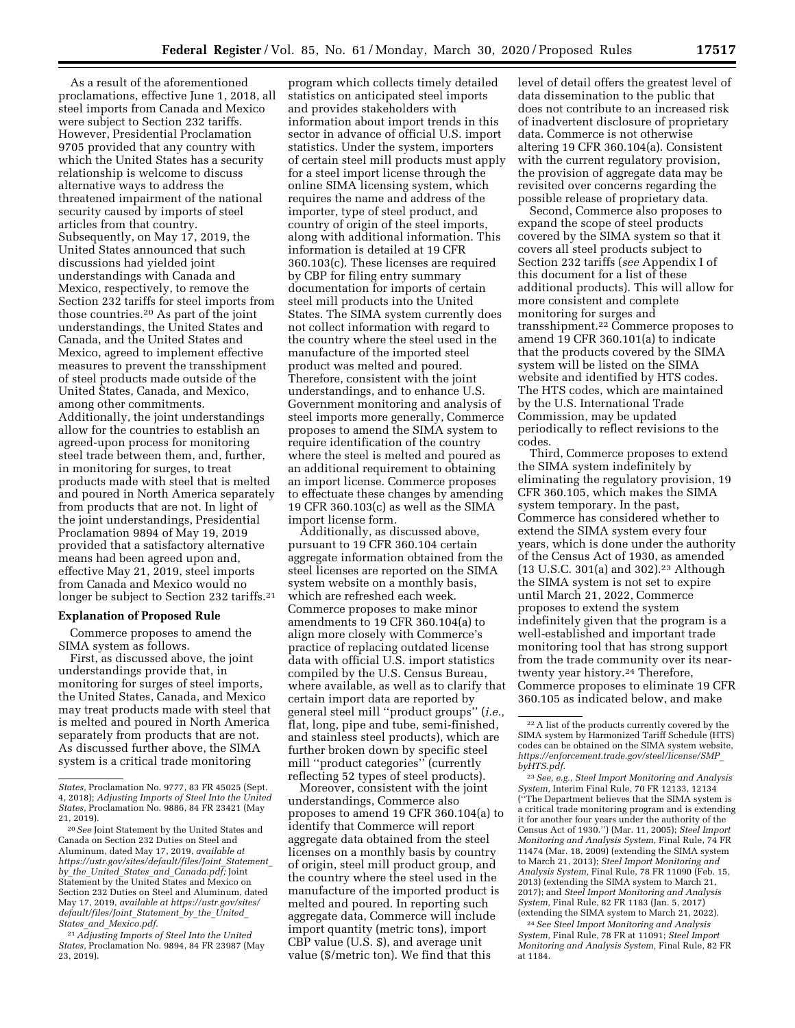As a result of the aforementioned proclamations, effective June 1, 2018, all steel imports from Canada and Mexico were subject to Section 232 tariffs. However, Presidential Proclamation 9705 provided that any country with which the United States has a security relationship is welcome to discuss alternative ways to address the threatened impairment of the national security caused by imports of steel articles from that country. Subsequently, on May 17, 2019, the United States announced that such discussions had yielded joint understandings with Canada and Mexico, respectively, to remove the Section 232 tariffs for steel imports from those countries.20 As part of the joint understandings, the United States and Canada, and the United States and Mexico, agreed to implement effective measures to prevent the transshipment of steel products made outside of the United States, Canada, and Mexico, among other commitments. Additionally, the joint understandings allow for the countries to establish an agreed-upon process for monitoring steel trade between them, and, further, in monitoring for surges, to treat products made with steel that is melted and poured in North America separately from products that are not. In light of the joint understandings, Presidential Proclamation 9894 of May 19, 2019 provided that a satisfactory alternative means had been agreed upon and, effective May 21, 2019, steel imports from Canada and Mexico would no longer be subject to Section 232 tariffs.<sup>21</sup>

### **Explanation of Proposed Rule**

Commerce proposes to amend the SIMA system as follows.

First, as discussed above, the joint understandings provide that, in monitoring for surges of steel imports, the United States, Canada, and Mexico may treat products made with steel that is melted and poured in North America separately from products that are not. As discussed further above, the SIMA system is a critical trade monitoring

21*Adjusting Imports of Steel Into the United States,* Proclamation No. 9894, 84 FR 23987 (May 23, 2019).

program which collects timely detailed statistics on anticipated steel imports and provides stakeholders with information about import trends in this sector in advance of official U.S. import statistics. Under the system, importers of certain steel mill products must apply for a steel import license through the online SIMA licensing system, which requires the name and address of the importer, type of steel product, and country of origin of the steel imports, along with additional information. This information is detailed at 19 CFR 360.103(c). These licenses are required by CBP for filing entry summary documentation for imports of certain steel mill products into the United States. The SIMA system currently does not collect information with regard to the country where the steel used in the manufacture of the imported steel product was melted and poured. Therefore, consistent with the joint understandings, and to enhance U.S. Government monitoring and analysis of steel imports more generally, Commerce proposes to amend the SIMA system to require identification of the country where the steel is melted and poured as an additional requirement to obtaining an import license. Commerce proposes to effectuate these changes by amending 19 CFR 360.103(c) as well as the SIMA import license form.

Additionally, as discussed above, pursuant to 19 CFR 360.104 certain aggregate information obtained from the steel licenses are reported on the SIMA system website on a monthly basis, which are refreshed each week. Commerce proposes to make minor amendments to 19 CFR 360.104(a) to align more closely with Commerce's practice of replacing outdated license data with official U.S. import statistics compiled by the U.S. Census Bureau, where available, as well as to clarify that certain import data are reported by general steel mill ''product groups'' (*i.e.,*  flat, long, pipe and tube, semi-finished, and stainless steel products), which are further broken down by specific steel mill ''product categories'' (currently reflecting 52 types of steel products).

Moreover, consistent with the joint understandings, Commerce also proposes to amend 19 CFR 360.104(a) to identify that Commerce will report aggregate data obtained from the steel licenses on a monthly basis by country of origin, steel mill product group, and the country where the steel used in the manufacture of the imported product is melted and poured. In reporting such aggregate data, Commerce will include import quantity (metric tons), import CBP value (U.S. \$), and average unit value (\$/metric ton). We find that this

level of detail offers the greatest level of data dissemination to the public that does not contribute to an increased risk of inadvertent disclosure of proprietary data. Commerce is not otherwise altering 19 CFR 360.104(a). Consistent with the current regulatory provision, the provision of aggregate data may be revisited over concerns regarding the possible release of proprietary data.

Second, Commerce also proposes to expand the scope of steel products covered by the SIMA system so that it covers all steel products subject to Section 232 tariffs (*see* Appendix I of this document for a list of these additional products). This will allow for more consistent and complete monitoring for surges and transshipment.22 Commerce proposes to amend 19 CFR 360.101(a) to indicate that the products covered by the SIMA system will be listed on the SIMA website and identified by HTS codes. The HTS codes, which are maintained by the U.S. International Trade Commission, may be updated periodically to reflect revisions to the codes.

Third, Commerce proposes to extend the SIMA system indefinitely by eliminating the regulatory provision, 19 CFR 360.105, which makes the SIMA system temporary. In the past, Commerce has considered whether to extend the SIMA system every four years, which is done under the authority of the Census Act of 1930, as amended (13 U.S.C. 301(a) and 302).23 Although the SIMA system is not set to expire until March 21, 2022, Commerce proposes to extend the system indefinitely given that the program is a well-established and important trade monitoring tool that has strong support from the trade community over its neartwenty year history.<sup>24</sup> Therefore, Commerce proposes to eliminate 19 CFR 360.105 as indicated below, and make

24*See Steel Import Monitoring and Analysis System,* Final Rule, 78 FR at 11091; *Steel Import Monitoring and Analysis System,* Final Rule, 82 FR at 1184.

*States,* Proclamation No. 9777, 83 FR 45025 (Sept. 4, 2018); *Adjusting Imports of Steel Into the United States,* Proclamation No. 9886, 84 FR 23421 (May 21, 2019).

<sup>20</sup>*See* Joint Statement by the United States and Canada on Section 232 Duties on Steel and Aluminum, dated May 17, 2019, *available at [https://ustr.gov/sites/default/files/Joint](https://ustr.gov/sites/default/files/Joint_Statement_by_the_United_States_and_Canada.pdf)*\_*Statement*\_ *by*\_*the*\_*United*\_*States*\_*and*\_*[Canada.pdf;](https://ustr.gov/sites/default/files/Joint_Statement_by_the_United_States_and_Canada.pdf)* Joint Statement by the United States and Mexico on Section 232 Duties on Steel and Aluminum, dated May 17, 2019, *available at [https://ustr.gov/sites/](https://ustr.gov/sites/default/files/Joint_Statement_by_the_United_States_and_Mexico.pdf) [default/files/Joint](https://ustr.gov/sites/default/files/Joint_Statement_by_the_United_States_and_Mexico.pdf)*\_*Statement*\_*by*\_*the*\_*United*\_ *States*\_*and*\_*[Mexico.pdf.](https://ustr.gov/sites/default/files/Joint_Statement_by_the_United_States_and_Mexico.pdf)* 

<sup>22</sup>A list of the products currently covered by the SIMA system by Harmonized Tariff Schedule (HTS) codes can be obtained on the SIMA system website, *[https://enforcement.trade.gov/steel/license/SMP](https://enforcement.trade.gov/steel/license/SMP_byHTS.pdf)*\_ *[byHTS.pdf.](https://enforcement.trade.gov/steel/license/SMP_byHTS.pdf)* 

<sup>23</sup>*See, e.g., Steel Import Monitoring and Analysis System,* Interim Final Rule, 70 FR 12133, 12134 (''The Department believes that the SIMA system is a critical trade monitoring program and is extending it for another four years under the authority of the Census Act of 1930.'') (Mar. 11, 2005); *Steel Import Monitoring and Analysis System,* Final Rule, 74 FR 11474 (Mar. 18, 2009) (extending the SIMA system to March 21, 2013); *Steel Import Monitoring and Analysis System,* Final Rule, 78 FR 11090 (Feb. 15, 2013) (extending the SIMA system to March 21, 2017); and *Steel Import Monitoring and Analysis System,* Final Rule, 82 FR 1183 (Jan. 5, 2017) (extending the SIMA system to March 21, 2022).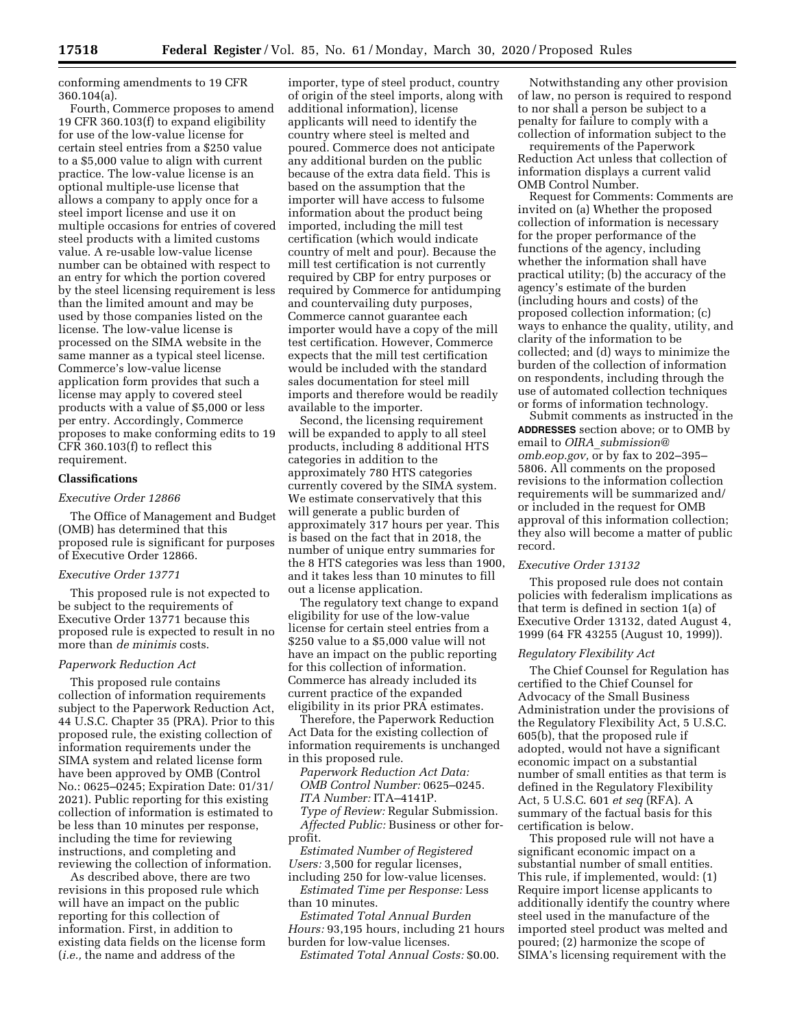conforming amendments to 19 CFR 360.104(a).

Fourth, Commerce proposes to amend 19 CFR 360.103(f) to expand eligibility for use of the low-value license for certain steel entries from a \$250 value to a \$5,000 value to align with current practice. The low-value license is an optional multiple-use license that allows a company to apply once for a steel import license and use it on multiple occasions for entries of covered steel products with a limited customs value. A re-usable low-value license number can be obtained with respect to an entry for which the portion covered by the steel licensing requirement is less than the limited amount and may be used by those companies listed on the license. The low-value license is processed on the SIMA website in the same manner as a typical steel license. Commerce's low-value license application form provides that such a license may apply to covered steel products with a value of \$5,000 or less per entry. Accordingly, Commerce proposes to make conforming edits to 19 CFR 360.103(f) to reflect this requirement.

### **Classifications**

# *Executive Order 12866*

The Office of Management and Budget (OMB) has determined that this proposed rule is significant for purposes of Executive Order 12866.

#### *Executive Order 13771*

This proposed rule is not expected to be subject to the requirements of Executive Order 13771 because this proposed rule is expected to result in no more than *de minimis* costs.

### *Paperwork Reduction Act*

This proposed rule contains collection of information requirements subject to the Paperwork Reduction Act, 44 U.S.C. Chapter 35 (PRA). Prior to this proposed rule, the existing collection of information requirements under the SIMA system and related license form have been approved by OMB (Control No.: 0625–0245; Expiration Date: 01/31/ 2021). Public reporting for this existing collection of information is estimated to be less than 10 minutes per response, including the time for reviewing instructions, and completing and reviewing the collection of information.

As described above, there are two revisions in this proposed rule which will have an impact on the public reporting for this collection of information. First, in addition to existing data fields on the license form (*i.e.,* the name and address of the

importer, type of steel product, country of origin of the steel imports, along with additional information), license applicants will need to identify the country where steel is melted and poured. Commerce does not anticipate any additional burden on the public because of the extra data field. This is based on the assumption that the importer will have access to fulsome information about the product being imported, including the mill test certification (which would indicate country of melt and pour). Because the mill test certification is not currently required by CBP for entry purposes or required by Commerce for antidumping and countervailing duty purposes, Commerce cannot guarantee each importer would have a copy of the mill test certification. However, Commerce expects that the mill test certification would be included with the standard sales documentation for steel mill imports and therefore would be readily available to the importer.

Second, the licensing requirement will be expanded to apply to all steel products, including 8 additional HTS categories in addition to the approximately 780 HTS categories currently covered by the SIMA system. We estimate conservatively that this will generate a public burden of approximately 317 hours per year. This is based on the fact that in 2018, the number of unique entry summaries for the 8 HTS categories was less than 1900, and it takes less than 10 minutes to fill out a license application.

The regulatory text change to expand eligibility for use of the low-value license for certain steel entries from a \$250 value to a \$5,000 value will not have an impact on the public reporting for this collection of information. Commerce has already included its current practice of the expanded eligibility in its prior PRA estimates.

Therefore, the Paperwork Reduction Act Data for the existing collection of information requirements is unchanged in this proposed rule.

*Paperwork Reduction Act Data: OMB Control Number:* 0625–0245. *ITA Number:* ITA–4141P. *Type of Review:* Regular Submission. *Affected Public:* Business or other forprofit.

*Estimated Number of Registered Users:* 3,500 for regular licenses, including 250 for low-value licenses.

*Estimated Time per Response:* Less than 10 minutes.

*Estimated Total Annual Burden Hours:* 93,195 hours, including 21 hours burden for low-value licenses.

*Estimated Total Annual Costs:* \$0.00.

Notwithstanding any other provision of law, no person is required to respond to nor shall a person be subject to a penalty for failure to comply with a collection of information subject to the

requirements of the Paperwork Reduction Act unless that collection of information displays a current valid OMB Control Number.

Request for Comments: Comments are invited on (a) Whether the proposed collection of information is necessary for the proper performance of the functions of the agency, including whether the information shall have practical utility; (b) the accuracy of the agency's estimate of the burden (including hours and costs) of the proposed collection information; (c) ways to enhance the quality, utility, and clarity of the information to be collected; and (d) ways to minimize the burden of the collection of information on respondents, including through the use of automated collection techniques or forms of information technology.

Submit comments as instructed in the **ADDRESSES** section above; or to OMB by email to *OIRA*\_*[submission@](mailto:OIRA_submission@omb.eop.gov) [omb.eop.gov,](mailto:OIRA_submission@omb.eop.gov)* or by fax to 202–395– 5806. All comments on the proposed revisions to the information collection requirements will be summarized and/ or included in the request for OMB approval of this information collection; they also will become a matter of public record.

### *Executive Order 13132*

This proposed rule does not contain policies with federalism implications as that term is defined in section 1(a) of Executive Order 13132, dated August 4, 1999 (64 FR 43255 (August 10, 1999)).

#### *Regulatory Flexibility Act*

The Chief Counsel for Regulation has certified to the Chief Counsel for Advocacy of the Small Business Administration under the provisions of the Regulatory Flexibility Act, 5 U.S.C. 605(b), that the proposed rule if adopted, would not have a significant economic impact on a substantial number of small entities as that term is defined in the Regulatory Flexibility Act, 5 U.S.C. 601 *et seq* (RFA). A summary of the factual basis for this certification is below.

This proposed rule will not have a significant economic impact on a substantial number of small entities. This rule, if implemented, would: (1) Require import license applicants to additionally identify the country where steel used in the manufacture of the imported steel product was melted and poured; (2) harmonize the scope of SIMA's licensing requirement with the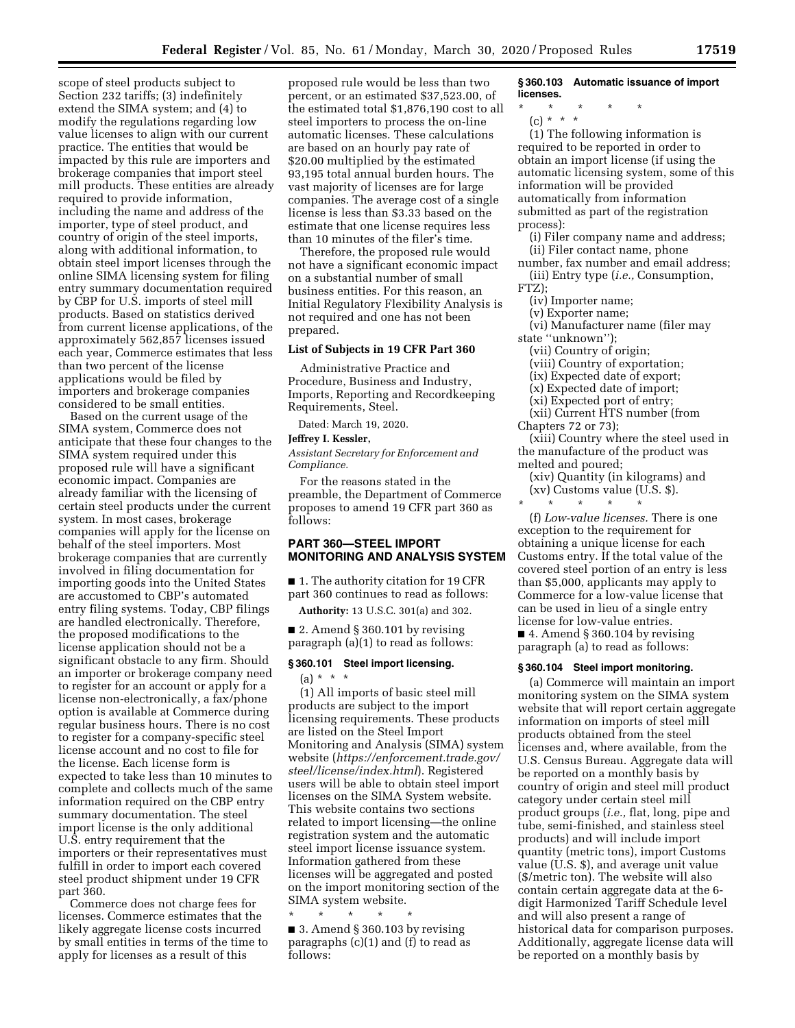scope of steel products subject to Section 232 tariffs; (3) indefinitely extend the SIMA system; and (4) to modify the regulations regarding low value licenses to align with our current practice. The entities that would be impacted by this rule are importers and brokerage companies that import steel mill products. These entities are already required to provide information, including the name and address of the importer, type of steel product, and country of origin of the steel imports, along with additional information, to obtain steel import licenses through the online SIMA licensing system for filing entry summary documentation required by CBP for U.S. imports of steel mill products. Based on statistics derived from current license applications, of the approximately 562,857 licenses issued each year, Commerce estimates that less than two percent of the license applications would be filed by importers and brokerage companies considered to be small entities.

Based on the current usage of the SIMA system, Commerce does not anticipate that these four changes to the SIMA system required under this proposed rule will have a significant economic impact. Companies are already familiar with the licensing of certain steel products under the current system. In most cases, brokerage companies will apply for the license on behalf of the steel importers. Most brokerage companies that are currently involved in filing documentation for importing goods into the United States are accustomed to CBP's automated entry filing systems. Today, CBP filings are handled electronically. Therefore, the proposed modifications to the license application should not be a significant obstacle to any firm. Should an importer or brokerage company need to register for an account or apply for a license non-electronically, a fax/phone option is available at Commerce during regular business hours. There is no cost to register for a company-specific steel license account and no cost to file for the license. Each license form is expected to take less than 10 minutes to complete and collects much of the same information required on the CBP entry summary documentation. The steel import license is the only additional U.S. entry requirement that the importers or their representatives must fulfill in order to import each covered steel product shipment under 19 CFR part 360.

Commerce does not charge fees for licenses. Commerce estimates that the likely aggregate license costs incurred by small entities in terms of the time to apply for licenses as a result of this

proposed rule would be less than two percent, or an estimated \$37,523.00, of the estimated total \$1,876,190 cost to all steel importers to process the on-line automatic licenses. These calculations are based on an hourly pay rate of \$20.00 multiplied by the estimated 93,195 total annual burden hours. The vast majority of licenses are for large companies. The average cost of a single license is less than \$3.33 based on the estimate that one license requires less than 10 minutes of the filer's time.

Therefore, the proposed rule would not have a significant economic impact on a substantial number of small business entities. For this reason, an Initial Regulatory Flexibility Analysis is not required and one has not been prepared.

## **List of Subjects in 19 CFR Part 360**

Administrative Practice and Procedure, Business and Industry, Imports, Reporting and Recordkeeping Requirements, Steel.

Dated: March 19, 2020.

### **Jeffrey I. Kessler,**

*Assistant Secretary for Enforcement and Compliance.* 

For the reasons stated in the preamble, the Department of Commerce proposes to amend 19 CFR part 360 as follows:

### **PART 360—STEEL IMPORT MONITORING AND ANALYSIS SYSTEM**

■ 1. The authority citation for 19 CFR part 360 continues to read as follows:

**Authority:** 13 U.S.C. 301(a) and 302.

■ 2. Amend § 360.101 by revising paragraph (a)(1) to read as follows:

## **§ 360.101 Steel import licensing.**   $(a) * * * *$

(1) All imports of basic steel mill products are subject to the import licensing requirements. These products are listed on the Steel Import Monitoring and Analysis (SIMA) system website (*[https://enforcement.trade.gov/](https://enforcement.trade.gov/steel/license/index.html) [steel/license/index.html](https://enforcement.trade.gov/steel/license/index.html)*). Registered users will be able to obtain steel import licenses on the SIMA System website. This website contains two sections related to import licensing—the online registration system and the automatic steel import license issuance system. Information gathered from these licenses will be aggregated and posted on the import monitoring section of the SIMA system website.

\* \* \* \* \* ■ 3. Amend § 360.103 by revising paragraphs (c)(1) and (f) to read as follows:

**§ 360.103 Automatic issuance of import licenses.** 

- \* \* \* \* \*
	- (c) \* \* \*

(1) The following information is required to be reported in order to obtain an import license (if using the automatic licensing system, some of this information will be provided automatically from information submitted as part of the registration process):

(i) Filer company name and address; (ii) Filer contact name, phone

- number, fax number and email address; (iii) Entry type (*i.e.,* Consumption,
- FTZ);
	- (iv) Importer name;
	- (v) Exporter name;
- (vi) Manufacturer name (filer may state ''unknown'');
	- (vii) Country of origin;
	- (viii) Country of exportation;
	- (ix) Expected date of export;
	- (x) Expected date of import;
	- (xi) Expected port of entry;

(xii) Current HTS number (from Chapters 72 or 73);

(xiii) Country where the steel used in the manufacture of the product was melted and poured;

(xiv) Quantity (in kilograms) and (xv) Customs value (U.S. \$).

\* \* \* \* \*

(f) *Low-value licenses.* There is one exception to the requirement for obtaining a unique license for each Customs entry. If the total value of the covered steel portion of an entry is less than \$5,000, applicants may apply to Commerce for a low-value license that can be used in lieu of a single entry license for low-value entries.

 $\blacksquare$  4. Amend § 360.104 by revising paragraph (a) to read as follows:

#### **§ 360.104 Steel import monitoring.**

(a) Commerce will maintain an import monitoring system on the SIMA system website that will report certain aggregate information on imports of steel mill products obtained from the steel licenses and, where available, from the U.S. Census Bureau. Aggregate data will be reported on a monthly basis by country of origin and steel mill product category under certain steel mill product groups (*i.e.,* flat, long, pipe and tube, semi-finished, and stainless steel products) and will include import quantity (metric tons), import Customs value (U.S. \$), and average unit value (\$/metric ton). The website will also contain certain aggregate data at the 6 digit Harmonized Tariff Schedule level and will also present a range of historical data for comparison purposes. Additionally, aggregate license data will be reported on a monthly basis by